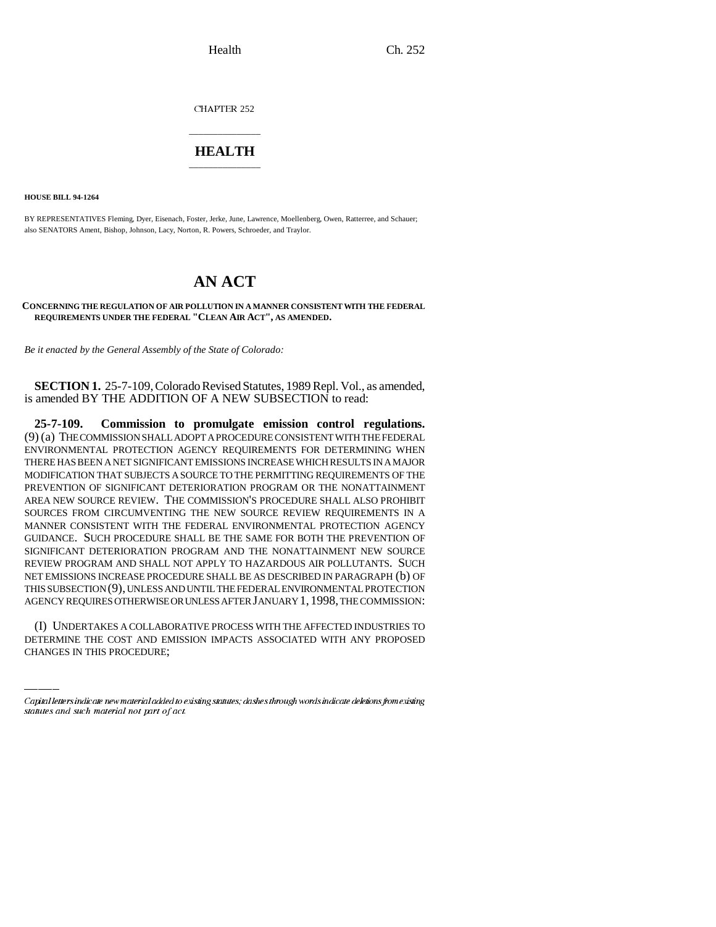CHAPTER 252

## \_\_\_\_\_\_\_\_\_\_\_\_\_\_\_ **HEALTH** \_\_\_\_\_\_\_\_\_\_\_\_\_\_\_

**HOUSE BILL 94-1264**

BY REPRESENTATIVES Fleming, Dyer, Eisenach, Foster, Jerke, June, Lawrence, Moellenberg, Owen, Ratterree, and Schauer; also SENATORS Ament, Bishop, Johnson, Lacy, Norton, R. Powers, Schroeder, and Traylor.

# **AN ACT**

**CONCERNING THE REGULATION OF AIR POLLUTION IN A MANNER CONSISTENT WITH THE FEDERAL REQUIREMENTS UNDER THE FEDERAL "CLEAN AIR ACT", AS AMENDED.**

*Be it enacted by the General Assembly of the State of Colorado:*

**SECTION 1.** 25-7-109, Colorado Revised Statutes, 1989 Repl. Vol., as amended, is amended BY THE ADDITION OF A NEW SUBSECTION to read:

AGENCY REQUIRES OTHERWISE OR UNLESS AFTER JANUARY 1,1998, THE COMMISSION: **25-7-109. Commission to promulgate emission control regulations.** (9) (a) THE COMMISSION SHALL ADOPT A PROCEDURE CONSISTENT WITH THE FEDERAL ENVIRONMENTAL PROTECTION AGENCY REQUIREMENTS FOR DETERMINING WHEN THERE HAS BEEN A NET SIGNIFICANT EMISSIONS INCREASE WHICH RESULTS IN A MAJOR MODIFICATION THAT SUBJECTS A SOURCE TO THE PERMITTING REQUIREMENTS OF THE PREVENTION OF SIGNIFICANT DETERIORATION PROGRAM OR THE NONATTAINMENT AREA NEW SOURCE REVIEW. THE COMMISSION'S PROCEDURE SHALL ALSO PROHIBIT SOURCES FROM CIRCUMVENTING THE NEW SOURCE REVIEW REQUIREMENTS IN A MANNER CONSISTENT WITH THE FEDERAL ENVIRONMENTAL PROTECTION AGENCY GUIDANCE. SUCH PROCEDURE SHALL BE THE SAME FOR BOTH THE PREVENTION OF SIGNIFICANT DETERIORATION PROGRAM AND THE NONATTAINMENT NEW SOURCE REVIEW PROGRAM AND SHALL NOT APPLY TO HAZARDOUS AIR POLLUTANTS. SUCH NET EMISSIONS INCREASE PROCEDURE SHALL BE AS DESCRIBED IN PARAGRAPH (b) OF THIS SUBSECTION (9), UNLESS AND UNTIL THE FEDERAL ENVIRONMENTAL PROTECTION

(I) UNDERTAKES A COLLABORATIVE PROCESS WITH THE AFFECTED INDUSTRIES TO DETERMINE THE COST AND EMISSION IMPACTS ASSOCIATED WITH ANY PROPOSED CHANGES IN THIS PROCEDURE;

Capital letters indicate new material added to existing statutes; dashes through words indicate deletions from existing statutes and such material not part of act.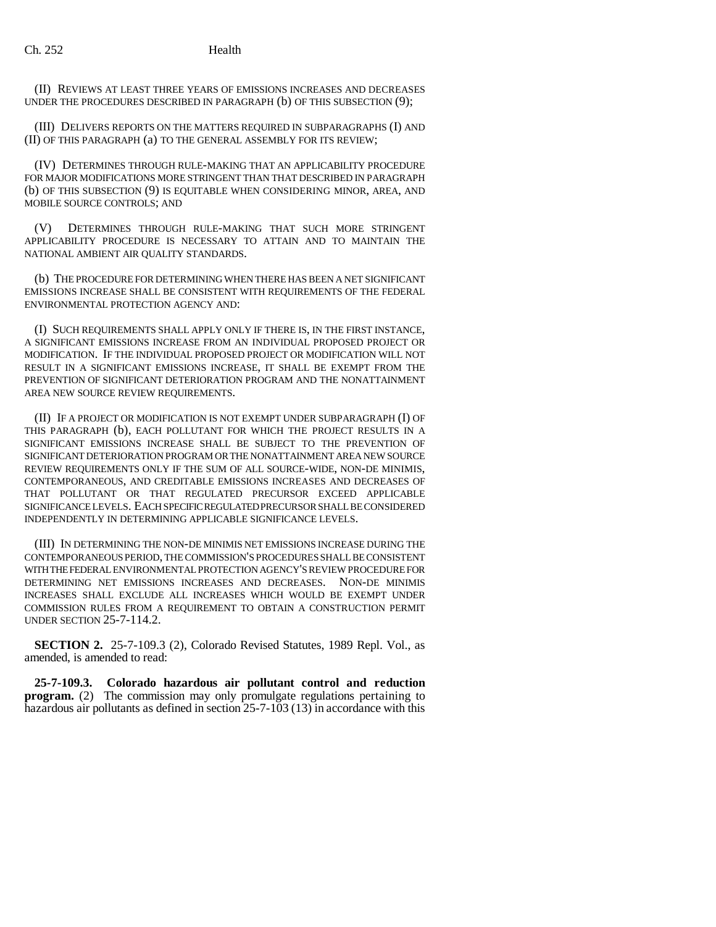(II) REVIEWS AT LEAST THREE YEARS OF EMISSIONS INCREASES AND DECREASES UNDER THE PROCEDURES DESCRIBED IN PARAGRAPH (b) OF THIS SUBSECTION (9);

(III) DELIVERS REPORTS ON THE MATTERS REQUIRED IN SUBPARAGRAPHS (I) AND (II) OF THIS PARAGRAPH (a) TO THE GENERAL ASSEMBLY FOR ITS REVIEW;

(IV) DETERMINES THROUGH RULE-MAKING THAT AN APPLICABILITY PROCEDURE FOR MAJOR MODIFICATIONS MORE STRINGENT THAN THAT DESCRIBED IN PARAGRAPH (b) OF THIS SUBSECTION (9) IS EQUITABLE WHEN CONSIDERING MINOR, AREA, AND MOBILE SOURCE CONTROLS; AND

(V) DETERMINES THROUGH RULE-MAKING THAT SUCH MORE STRINGENT APPLICABILITY PROCEDURE IS NECESSARY TO ATTAIN AND TO MAINTAIN THE NATIONAL AMBIENT AIR QUALITY STANDARDS.

(b) THE PROCEDURE FOR DETERMINING WHEN THERE HAS BEEN A NET SIGNIFICANT EMISSIONS INCREASE SHALL BE CONSISTENT WITH REQUIREMENTS OF THE FEDERAL ENVIRONMENTAL PROTECTION AGENCY AND:

(I) SUCH REQUIREMENTS SHALL APPLY ONLY IF THERE IS, IN THE FIRST INSTANCE, A SIGNIFICANT EMISSIONS INCREASE FROM AN INDIVIDUAL PROPOSED PROJECT OR MODIFICATION. IF THE INDIVIDUAL PROPOSED PROJECT OR MODIFICATION WILL NOT RESULT IN A SIGNIFICANT EMISSIONS INCREASE, IT SHALL BE EXEMPT FROM THE PREVENTION OF SIGNIFICANT DETERIORATION PROGRAM AND THE NONATTAINMENT AREA NEW SOURCE REVIEW REQUIREMENTS.

(II) IF A PROJECT OR MODIFICATION IS NOT EXEMPT UNDER SUBPARAGRAPH (I) OF THIS PARAGRAPH (b), EACH POLLUTANT FOR WHICH THE PROJECT RESULTS IN A SIGNIFICANT EMISSIONS INCREASE SHALL BE SUBJECT TO THE PREVENTION OF SIGNIFICANT DETERIORATION PROGRAM OR THE NONATTAINMENT AREA NEW SOURCE REVIEW REQUIREMENTS ONLY IF THE SUM OF ALL SOURCE-WIDE, NON-DE MINIMIS, CONTEMPORANEOUS, AND CREDITABLE EMISSIONS INCREASES AND DECREASES OF THAT POLLUTANT OR THAT REGULATED PRECURSOR EXCEED APPLICABLE SIGNIFICANCE LEVELS. EACH SPECIFIC REGULATED PRECURSOR SHALL BE CONSIDERED INDEPENDENTLY IN DETERMINING APPLICABLE SIGNIFICANCE LEVELS.

(III) IN DETERMINING THE NON-DE MINIMIS NET EMISSIONS INCREASE DURING THE CONTEMPORANEOUS PERIOD, THE COMMISSION'S PROCEDURES SHALL BE CONSISTENT WITH THE FEDERAL ENVIRONMENTAL PROTECTION AGENCY'S REVIEW PROCEDURE FOR DETERMINING NET EMISSIONS INCREASES AND DECREASES. NON-DE MINIMIS INCREASES SHALL EXCLUDE ALL INCREASES WHICH WOULD BE EXEMPT UNDER COMMISSION RULES FROM A REQUIREMENT TO OBTAIN A CONSTRUCTION PERMIT UNDER SECTION 25-7-114.2.

**SECTION 2.** 25-7-109.3 (2), Colorado Revised Statutes, 1989 Repl. Vol., as amended, is amended to read:

**25-7-109.3. Colorado hazardous air pollutant control and reduction program.** (2) The commission may only promulgate regulations pertaining to hazardous air pollutants as defined in section 25-7-103 (13) in accordance with this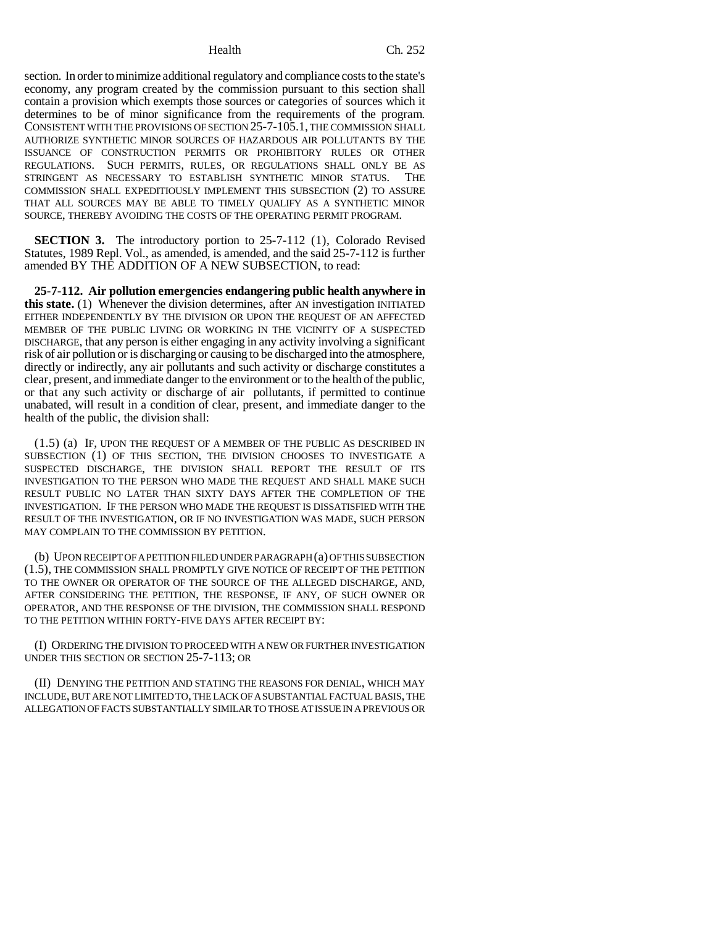section. In order to minimize additional regulatory and compliance costs to the state's economy, any program created by the commission pursuant to this section shall contain a provision which exempts those sources or categories of sources which it determines to be of minor significance from the requirements of the program. CONSISTENT WITH THE PROVISIONS OF SECTION 25-7-105.1, THE COMMISSION SHALL AUTHORIZE SYNTHETIC MINOR SOURCES OF HAZARDOUS AIR POLLUTANTS BY THE ISSUANCE OF CONSTRUCTION PERMITS OR PROHIBITORY RULES OR OTHER REGULATIONS. SUCH PERMITS, RULES, OR REGULATIONS SHALL ONLY BE AS STRINGENT AS NECESSARY TO ESTABLISH SYNTHETIC MINOR STATUS. THE COMMISSION SHALL EXPEDITIOUSLY IMPLEMENT THIS SUBSECTION (2) TO ASSURE THAT ALL SOURCES MAY BE ABLE TO TIMELY QUALIFY AS A SYNTHETIC MINOR SOURCE, THEREBY AVOIDING THE COSTS OF THE OPERATING PERMIT PROGRAM.

**SECTION 3.** The introductory portion to 25-7-112 (1), Colorado Revised Statutes, 1989 Repl. Vol., as amended, is amended, and the said 25-7-112 is further amended BY THE ADDITION OF A NEW SUBSECTION, to read:

**25-7-112. Air pollution emergencies endangering public health anywhere in this state.** (1) Whenever the division determines, after AN investigation INITIATED EITHER INDEPENDENTLY BY THE DIVISION OR UPON THE REQUEST OF AN AFFECTED MEMBER OF THE PUBLIC LIVING OR WORKING IN THE VICINITY OF A SUSPECTED DISCHARGE, that any person is either engaging in any activity involving a significant risk of air pollution or is discharging or causing to be discharged into the atmosphere, directly or indirectly, any air pollutants and such activity or discharge constitutes a clear, present, and immediate danger to the environment or to the health of the public, or that any such activity or discharge of air pollutants, if permitted to continue unabated, will result in a condition of clear, present, and immediate danger to the health of the public, the division shall:

(1.5) (a) IF, UPON THE REQUEST OF A MEMBER OF THE PUBLIC AS DESCRIBED IN SUBSECTION (1) OF THIS SECTION, THE DIVISION CHOOSES TO INVESTIGATE A SUSPECTED DISCHARGE, THE DIVISION SHALL REPORT THE RESULT OF ITS INVESTIGATION TO THE PERSON WHO MADE THE REQUEST AND SHALL MAKE SUCH RESULT PUBLIC NO LATER THAN SIXTY DAYS AFTER THE COMPLETION OF THE INVESTIGATION. IF THE PERSON WHO MADE THE REQUEST IS DISSATISFIED WITH THE RESULT OF THE INVESTIGATION, OR IF NO INVESTIGATION WAS MADE, SUCH PERSON MAY COMPLAIN TO THE COMMISSION BY PETITION.

(b) UPON RECEIPT OF A PETITION FILED UNDER PARAGRAPH (a) OF THIS SUBSECTION (1.5), THE COMMISSION SHALL PROMPTLY GIVE NOTICE OF RECEIPT OF THE PETITION TO THE OWNER OR OPERATOR OF THE SOURCE OF THE ALLEGED DISCHARGE, AND, AFTER CONSIDERING THE PETITION, THE RESPONSE, IF ANY, OF SUCH OWNER OR OPERATOR, AND THE RESPONSE OF THE DIVISION, THE COMMISSION SHALL RESPOND TO THE PETITION WITHIN FORTY-FIVE DAYS AFTER RECEIPT BY:

(I) ORDERING THE DIVISION TO PROCEED WITH A NEW OR FURTHER INVESTIGATION UNDER THIS SECTION OR SECTION 25-7-113; OR

(II) DENYING THE PETITION AND STATING THE REASONS FOR DENIAL, WHICH MAY INCLUDE, BUT ARE NOT LIMITED TO, THE LACK OF A SUBSTANTIAL FACTUAL BASIS, THE ALLEGATION OF FACTS SUBSTANTIALLY SIMILAR TO THOSE AT ISSUE IN A PREVIOUS OR